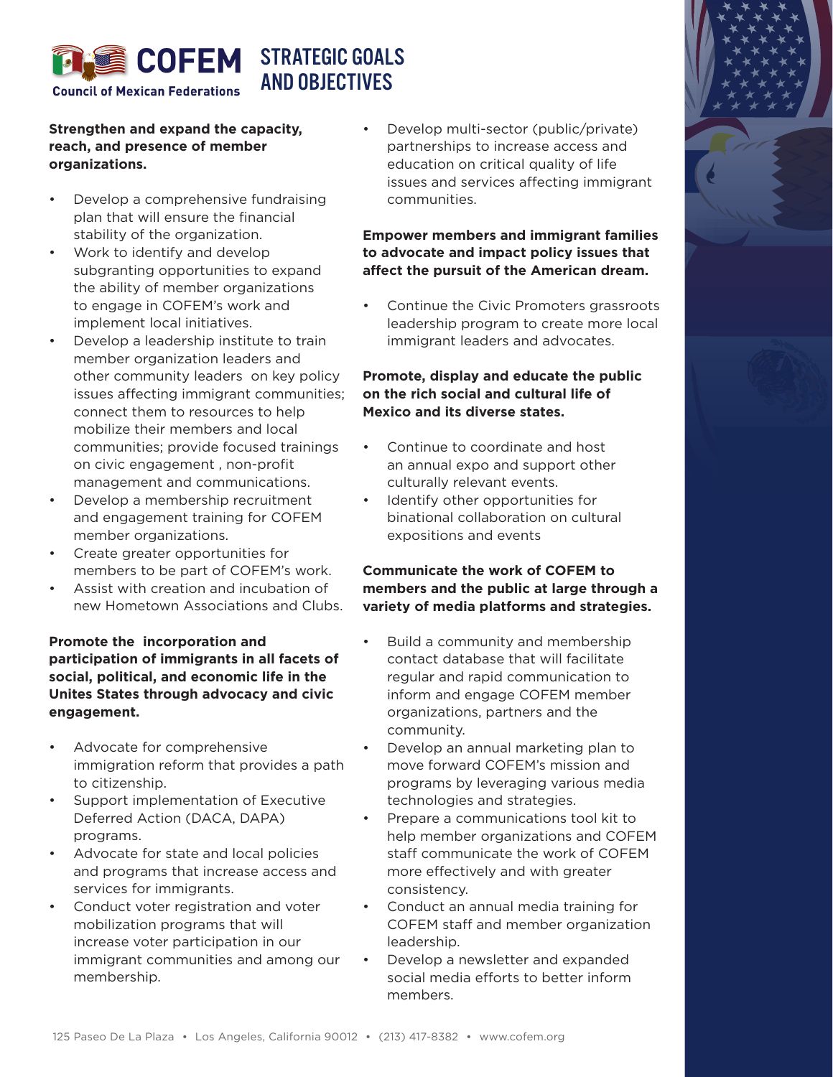

# **Strengthen and expand the capacity, reach, and presence of member organizations.**

- Develop a comprehensive fundraising plan that will ensure the financial stability of the organization.
- Work to identify and develop subgranting opportunities to expand the ability of member organizations to engage in COFEM's work and implement local initiatives.
- Develop a leadership institute to train member organization leaders and other community leaders on key policy issues affecting immigrant communities; connect them to resources to help mobilize their members and local communities; provide focused trainings on civic engagement , non-profit management and communications.
- Develop a membership recruitment and engagement training for COFEM member organizations.
- Create greater opportunities for members to be part of COFEM's work.
- Assist with creation and incubation of new Hometown Associations and Clubs.

## **Promote the incorporation and participation of immigrants in all facets of social, political, and economic life in the Unites States through advocacy and civic engagement.**

- Advocate for comprehensive immigration reform that provides a path to citizenship.
- Support implementation of Executive Deferred Action (DACA, DAPA) programs.
- Advocate for state and local policies and programs that increase access and services for immigrants.
- Conduct voter registration and voter mobilization programs that will increase voter participation in our immigrant communities and among our membership.

• Develop multi-sector (public/private) partnerships to increase access and education on critical quality of life issues and services affecting immigrant communities.

## **Empower members and immigrant families to advocate and impact policy issues that affect the pursuit of the American dream.**

• Continue the Civic Promoters grassroots leadership program to create more local immigrant leaders and advocates.

### **Promote, display and educate the public on the rich social and cultural life of Mexico and its diverse states.**

- Continue to coordinate and host an annual expo and support other culturally relevant events.
- Identify other opportunities for binational collaboration on cultural expositions and events

# **Communicate the work of COFEM to members and the public at large through a variety of media platforms and strategies.**

- Build a community and membership contact database that will facilitate regular and rapid communication to inform and engage COFEM member organizations, partners and the community.
- Develop an annual marketing plan to move forward COFEM's mission and programs by leveraging various media technologies and strategies.
- Prepare a communications tool kit to help member organizations and COFEM staff communicate the work of COFEM more effectively and with greater consistency.
- Conduct an annual media training for COFEM staff and member organization leadership.
- Develop a newsletter and expanded social media efforts to better inform members.